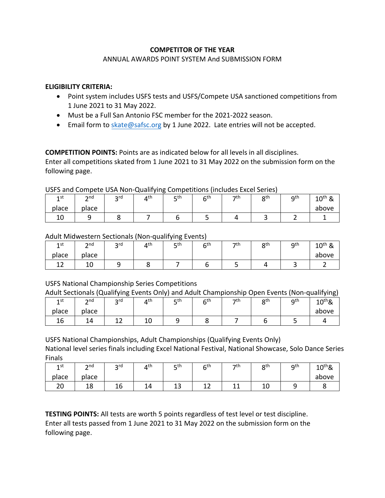## **COMPETITOR OF THE YEAR**

#### ANNUAL AWARDS POINT SYSTEM And SUBMISSION FORM

## **ELIGIBILITY CRITERIA:**

- Point system includes USFS tests and USFS/Compete USA sanctioned competitions from 1 June 2021 to 31 May 2022.
- Must be a Full San Antonio FSC member for the 2021-2022 season.
- Email form to skate@safsc.org by 1 June 2022. Late entries will not be accepted.

**COMPETITION POINTS:** Points are as indicated below for all levels in all disciplines. Enter all competitions skated from 1 June 2021 to 31 May 2022 on the submission form on the following page.

## USFS and Compete USA Non-Qualifying Competitions (includes Excel Series)

| 1st      | $\mathsf{and}$<br>- | ord<br>້ | лth | rth<br>ــ | $\mathsf{C}^{\mathsf{th}}$<br>∼ | $\neg$ th | oth<br>ີ | <b>g</b> th<br>ـ | $10^{th}$ &<br>$\alpha$ |
|----------|---------------------|----------|-----|-----------|---------------------------------|-----------|----------|------------------|-------------------------|
| place    | place               |          |     |           |                                 |           |          |                  | above                   |
| 10<br>ΨU |                     |          |     |           |                                 |           |          |                  |                         |

## Adult Midwestern Sectionals (Non-qualifying Events)

| 1 st<br>ᅩ | $\mathsf{and}$ | <b>っ</b> rd<br>$\tilde{\phantom{a}}$ | ⊿th | c th<br>ــ | ⊆th | −7th | oth<br>u | <b>g</b> th<br>ے | $10^{th}$ & |
|-----------|----------------|--------------------------------------|-----|------------|-----|------|----------|------------------|-------------|
| place     | place          |                                      |     |            |     |      |          |                  | above       |
| --        | ᅩ              |                                      |     |            |     |      |          |                  |             |

# USFS National Championship Series Competitions

Adult Sectionals (Qualifying Events Only) and Adult Championship Open Events (Non-qualifying)

| 1st   | $\mathsf{p}$ nd<br>_ | --<br>ord<br>້ | $4^{\text{th}}$     | $-th$<br>۔ | cth | $\neg$ th | oth<br>ີ | <b>g</b> th<br>ے | - -<br>$10^{th}$ & |
|-------|----------------------|----------------|---------------------|------------|-----|-----------|----------|------------------|--------------------|
| place | place                |                |                     |            |     |           |          |                  | above              |
| 16    | 14<br>--             | --             | 1 <sup>C</sup><br>ᅩ |            |     |           |          |                  |                    |

USFS National Championships, Adult Championships (Qualifying Events Only)

National level series finals including Excel National Festival, National Showcase, Solo Dance Series Finals

| 1st                | $\mathsf{p}$ nd<br>- | ord<br>້ | лth | ⊏th<br>ت     | 6 <sup>th</sup><br>ັ | っth | oth<br>ບ  | <b>a</b> th | $10^{th}$ & |
|--------------------|----------------------|----------|-----|--------------|----------------------|-----|-----------|-------------|-------------|
| place              | place                |          |     |              |                      |     |           |             | above       |
| $\mathbf{a}$<br>۷J | 18                   | 16       | 14  | $\sim$<br>ᅩJ | --                   | --  | 1 N<br>τn |             |             |

**TESTING POINTS:** All tests are worth 5 points regardless of test level or test discipline. Enter all tests passed from 1 June 2021 to 31 May 2022 on the submission form on the following page.